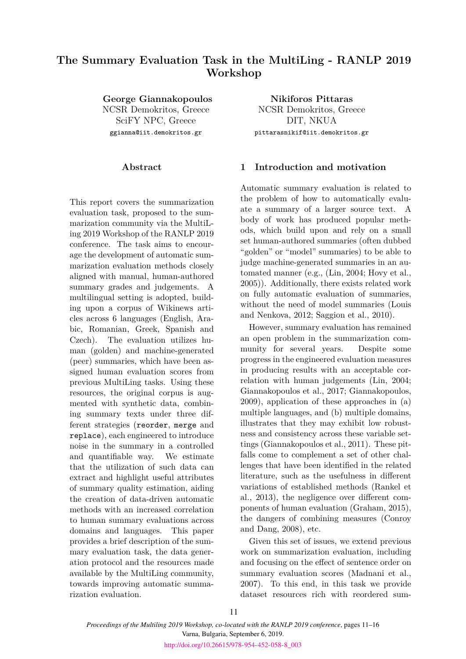# **The Summary Evaluation Task in the MultiLing - RANLP 2019 Workshop**

**George Giannakopoulos** NCSR Demokritos, Greece SciFY NPC, Greece ggianna@iit.demokritos.gr

### **Abstract**

This report covers the summarization evaluation task, proposed to the summarization community via the MultiLing 2019 Workshop of the RANLP 2019 conference. The task aims to encourage the development of automatic summarization evaluation methods closely aligned with manual, human-authored summary grades and judgements. A multilingual setting is adopted, building upon a corpus of Wikinews articles across 6 languages (English, Arabic, Romanian, Greek, Spanish and Czech). The evaluation utilizes human (golden) and machine-generated (peer) summaries, which have been assigned human evaluation scores from previous MultiLing tasks. Using these resources, the original corpus is augmented with synthetic data, combining summary texts under three different strategies (reorder, merge and replace), each engineered to introduce noise in the summary in a controlled and quantifiable way. We estimate that the utilization of such data can extract and highlight useful attributes of summary quality estimation, aiding the creation of data-driven automatic methods with an increased correlation to human summary evaluations across domains and languages. This paper provides a brief description of the summary evaluation task, the data generation protocol and the resources made available by the MultiLing community, towards improving automatic summarization evaluation.

**Nikiforos Pittaras** NCSR Demokritos, Greece DIT, NKUA pittarasnikif@iit.demokritos.gr

### **1 Introduction and motivation**

Automatic summary evaluation is related to the problem of how to automatically evaluate a summary of a larger source text. A body of work has produced popular methods, which build upon and rely on a small set human-authored summaries (often dubbed "golden" or "model" summaries) to be able to judge machine-generated summaries in an automated manner (e.g., (Lin, 2004; Hovy et al., 2005)). Additionally, there exists related work on fully automatic evaluation of summaries, without the need of model summaries (Louis and Nenkova, 2012; Saggion et al., 2010).

However, summary evaluation has remained an open problem in the summarization community for several years. Despite some progress in the engineered evaluation measures in producing results with an acceptable correlation with human judgements (Lin, 2004; Giannakopoulos et al., 2017; Giannakopoulos, 2009), application of these approaches in (a) multiple languages, and (b) multiple domains, illustrates that they may exhibit low robustness and consistency across these variable settings (Giannakopoulos et al., 2011). These pitfalls come to complement a set of other challenges that have been identified in the related literature, such as the usefulness in different variations of established methods (Rankel et al., 2013), the negligence over different components of human evaluation (Graham, 2015), the dangers of combining measures (Conroy and Dang, 2008), etc.

Given this set of issues, we extend previous work on summarization evaluation, including and focusing on the effect of sentence order on summary evaluation scores (Madnani et al., 2007). To this end, in this task we provide dataset resources rich with reordered sum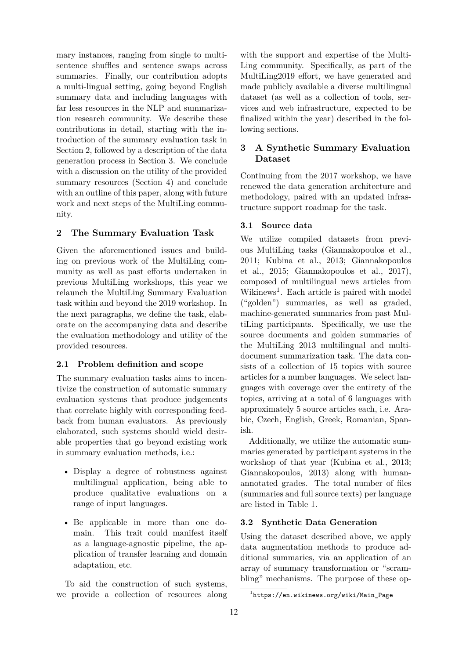mary instances, ranging from single to multisentence shuffles and sentence swaps across summaries. Finally, our contribution adopts a multi-lingual setting, going beyond English summary data and including languages with far less resources in the NLP and summarization research community. We describe these contributions in detail, starting with the introduction of the summary evaluation task in Section 2, followed by a description of the data generation process in Section 3. We conclude with a discussion on the utility of the provided summary resources (Section 4) and conclude with an outline of this paper, along with future work and next steps of the MultiLing community.

# **2 The Summary Evaluation Task**

Given the aforementioned issues and building on previous work of the MultiLing community as well as past efforts undertaken in previous MultiLing workshops, this year we relaunch the MultiLing Summary Evaluation task within and beyond the 2019 workshop. In the next paragraphs, we define the task, elaborate on the accompanying data and describe the evaluation methodology and utility of the provided resources.

# **2.1 Problem definition and scope**

Τhe summary evaluation tasks aims to incentivize the construction of automatic summary evaluation systems that produce judgements that correlate highly with corresponding feedback from human evaluators. As previously elaborated, such systems should wield desirable properties that go beyond existing work in summary evaluation methods, i.e.:

- Display a degree of robustness against multilingual application, being able to produce qualitative evaluations on a range of input languages.
- Be applicable in more than one domain. This trait could manifest itself as a language-agnostic pipeline, the application of transfer learning and domain adaptation, etc.

To aid the construction of such systems, we provide a collection of resources along

with the support and expertise of the Multi-Ling community. Specifically, as part of the MultiLing2019 effort, we have generated and made publicly available a diverse multilingual dataset (as well as a collection of tools, services and web infrastructure, expected to be finalized within the year) described in the following sections.

# **3 A Synthetic Summary Evaluation Dataset**

Continuing from the 2017 workshop, we have renewed the data generation architecture and methodology, paired with an updated infrastructure support roadmap for the task.

# **3.1 Source data**

We utilize compiled datasets from previous MultiLing tasks (Giannakopoulos et al., 2011; Kubina et al., 2013; Giannakopoulos et al., 2015; Giannakopoulos et al., 2017), composed of multilingual news articles from Wikinews<sup>1</sup>. Each article is paired with model ("golden") summaries, as well as graded, machine-generated summaries from past MultiLing participants. Specifically, we use the source documents and golden summaries of the MultiLing 2013 multilingual and multidocument summarization task. The data consists of a collection of 15 topics with source articles for a number languages. We select languages with coverage over the entirety of the topics, arriving at a total of 6 languages with approximately 5 source articles each, i.e. Arabic, Czech, English, Greek, Romanian, Spanish.

Additionally, we utilize the automatic summaries generated by participant systems in the workshop of that year (Kubina et al., 2013; Giannakopoulos, 2013) along with humanannotated grades. The total number of files (summaries and full source texts) per language are listed in Table 1.

# **3.2 Synthetic Data Generation**

Using the dataset described above, we apply data augmentation methods to produce additional summaries, via an application of an array of summary transformation or "scrambling" mechanisms. The purpose of these op-

<sup>1</sup> https://en.wikinews.org/wiki/Main\_Page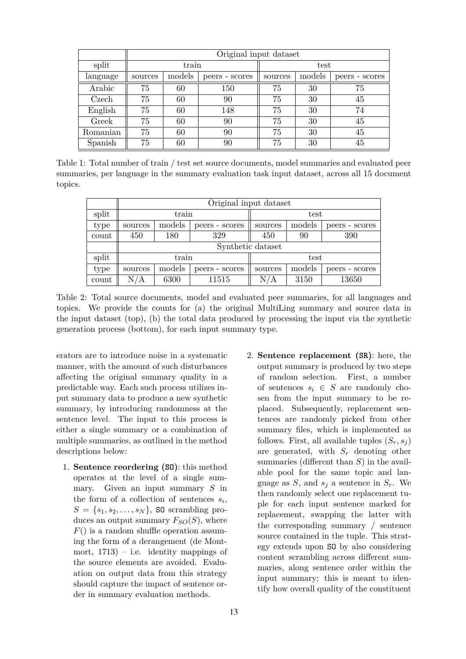|          | Original input dataset |        |                |         |        |                |  |
|----------|------------------------|--------|----------------|---------|--------|----------------|--|
| split    | train                  |        |                | test    |        |                |  |
| language | sources                | models | peers - scores | sources | models | peers - scores |  |
| Arabic   | 75                     | 60     | 150            | 75      | 30     | 75             |  |
| Czech    | 75                     | 60     | 90             | 75      | 30     | 45             |  |
| English  | 75                     | 60     | 148            | 75      | 30     | 74             |  |
| Greek    | 75                     | 60     | 90             | 75      | 30     | 45             |  |
| Romanian | 75                     | 60     | 90             | 75      | 30     | 45             |  |
| Spanish  | 75                     | 60     | 90             | 75      | 30     | 45             |  |

Table 1: Total number of train / test set source documents, model summaries and evaluated peer summaries, per language in the summary evaluation task input dataset, across all 15 document topics.

|       | Original input dataset |                          |                |         |        |                |  |
|-------|------------------------|--------------------------|----------------|---------|--------|----------------|--|
| split |                        | train                    |                | test    |        |                |  |
| type  | sources                | models<br>peers - scores |                | sources | models | peers - scores |  |
| count | 450                    | 329<br>180               |                | 450     | 90     | 390            |  |
|       | Synthetic dataset      |                          |                |         |        |                |  |
| split | train                  |                          |                | test    |        |                |  |
| type  | sources                | models                   | peers - scores | sources | models | peers - scores |  |
| count | N/A                    | 6300                     | 11515          | N/A     | 3150   | 13650          |  |

Table 2: Total source documents, model and evaluated peer summaries, for all languages and topics. We provide the counts for (a) the original MultiLing summary and source data in the input dataset (top), (b) the total data produced by processing the input via the synthetic generation process (bottom), for each input summary type.

erators are to introduce noise in a systematic manner, with the amount of such disturbances affecting the original summary quality in a predictable way. Each such process utilizes input summary data to produce a new synthetic summary, by introducing randomness at the sentence level. The input to this process is either a single summary or a combination of multiple summaries, as outlined in the method descriptions below:

- 1. **Sentence reordering (SO)**: this method operates at the level of a single summary. Given an input summary *S* in the form of a collection of sentences  $s_i$ ,  $S = \{s_1, s_2, \ldots, s_N\}$ , SO scrambling produces an output summary  $F_{SO}(S)$ , where *F*() is a random shuffle operation assuming the form of a derangement (de Montmort,  $1713$ ) – i.e. identity mappings of the source elements are avoided. Evaluation on output data from this strategy should capture the impact of sentence order in summary evaluation methods.
- 2. **Sentence replacement (SR)**: here, the output summary is produced by two steps of random selection. First, a number of sentences  $s_i \in S$  are randomly chosen from the input summary to be replaced. Subsequently, replacement sentences are randomly picked from other summary files, which is implemented as follows. First, all available tuples  $(S_r, s_j)$ are generated, with *S<sup>r</sup>* denoting other summaries (different than *S*) in the available pool for the same topic and language as  $S$ , and  $s_j$  a sentence in  $S_r$ . We then randomly select one replacement tuple for each input sentence marked for replacement, swapping the latter with the corresponding summary / sentence source contained in the tuple. This strategy extends upon SO by also considering content scrambling across different summaries, along sentence order within the input summary; this is meant to identify how overall quality of the constituent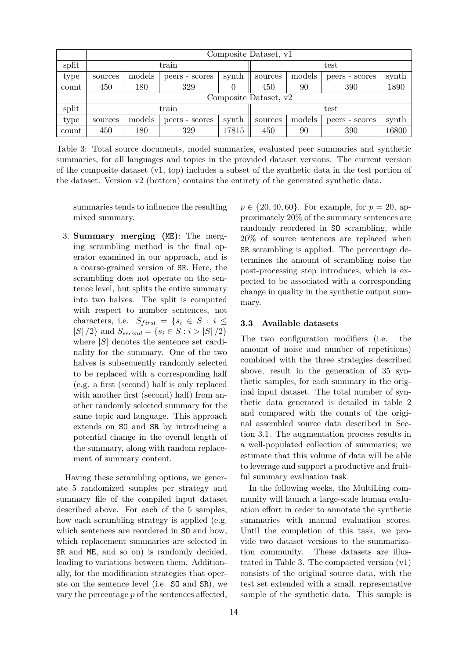|       | Composite Dataset, v1 |        |                |       |         |        |                |       |  |  |  |
|-------|-----------------------|--------|----------------|-------|---------|--------|----------------|-------|--|--|--|
| split | train                 |        |                |       | test    |        |                |       |  |  |  |
| type  | sources               | models | peers - scores | synth | sources | models | peers - scores | synth |  |  |  |
| count | 450                   | 180    | 329            |       | 450     | 90     | 390            | 1890  |  |  |  |
|       | Composite Dataset, v2 |        |                |       |         |        |                |       |  |  |  |
| split | train                 |        |                |       | test    |        |                |       |  |  |  |
| type  | sources               | models | peers - scores | synth | sources | models | peers - scores | synth |  |  |  |
| count | 450                   | 180    | 329            | 17815 | 450     | 90     | 390            | 16800 |  |  |  |

Table 3: Total source documents, model summaries, evaluated peer summaries and synthetic summaries, for all languages and topics in the provided dataset versions. The current version of the composite dataset (v1, top) includes a subset of the synthetic data in the test portion of the dataset. Version v2 (bottom) contains the entirety of the generated synthetic data.

summaries tends to influence the resulting mixed summary.

3. **Summary merging (ME)**: The merging scrambling method is the final operator examined in our approach, and is a coarse-grained version of SR. Here, the scrambling does not operate on the sentence level, but splits the entire summary into two halves. The split is computed with respect to number sentences, not characters, i.e.  $S_{first} = \{s_i \in S : i \leq$ *|S|* /2*}* and *Ssecond* = *{s<sup>i</sup> ∈ S* : *i > |S|* /2*}* where *|S|* denotes the sentence set cardinality for the summary. One of the two halves is subsequently randomly selected to be replaced with a corresponding half (e.g. a first (second) half is only replaced with another first (second) half) from another randomly selected summary for the same topic and language. This approach extends on SO and SR by introducing a potential change in the overall length of the summary, along with random replacement of summary content.

Having these scrambling options, we generate 5 randomized samples per strategy and summary file of the compiled input dataset described above. For each of the 5 samples, how each scrambling strategy is applied (e.g. which sentences are reordered in  $SO$  and how, which replacement summaries are selected in SR and ME, and so on) is randomly decided, leading to variations between them. Additionally, for the modification strategies that operate on the sentence level (i.e. SO and SR), we vary the percentage *p* of the sentences affected,

 $p \in \{20, 40, 60\}$ . For example, for  $p = 20$ , approximately 20% of the summary sentences are randomly reordered in SO scrambling, while 20% of source sentences are replaced when SR scrambling is applied. The percentage determines the amount of scrambling noise the post-processing step introduces, which is expected to be associated with a corresponding change in quality in the synthetic output summary.

#### **3.3 Available datasets**

The two configuration modifiers (i.e. the amount of noise and number of repetitions) combined with the three strategies described above, result in the generation of 35 synthetic samples, for each summary in the original input dataset. The total number of synthetic data generated is detailed in table 2 and compared with the counts of the original assembled source data described in Section 3.1. The augmentation process results in a well-populated collection of summaries; we estimate that this volume of data will be able to leverage and support a productive and fruitful summary evaluation task.

In the following weeks, the MultiLing community will launch a large-scale human evaluation effort in order to annotate the synthetic summaries with manual evaluation scores. Until the completion of this task, we provide two dataset versions to the summarization community. These datasets are illustrated in Table 3. The compacted version (v1) consists of the original source data, with the test set extended with a small, representative sample of the synthetic data. This sample is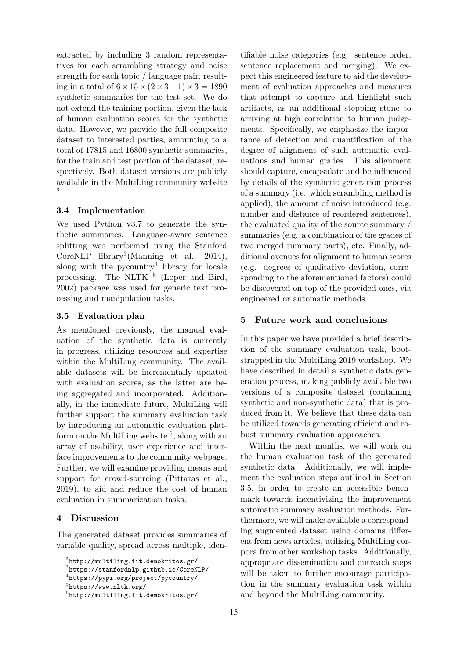extracted by including 3 random representatives for each scrambling strategy and noise strength for each topic / language pair, resulting in a total of 6*×*15*×*(2*×*3 + 1)*×*3 = 1890 synthetic summaries for the test set. We do not extend the training portion, given the lack of human evaluation scores for the synthetic data. However, we provide the full composite dataset to interested parties, amounting to a total of 17815 and 16800 synthetic summaries, for the train and test portion of the dataset, respectively. Both dataset versions are publicly available in the MultiLing community website 2 .

#### **3.4 Implementation**

We used Python v3.7 to generate the synthetic summaries. Language-aware sentence splitting was performed using the Stanford CoreNLP library<sup>3</sup>(Manning et al., 2014), along with the pycountry<sup>4</sup> library for locale processing. The NLTK  $^5$  (Loper and Bird, 2002) package was used for generic text processing and manipulation tasks.

#### **3.5 Evaluation plan**

As mentioned previously, the manual evaluation of the synthetic data is currently in progress, utilizing resources and expertise within the MultiLing community. The available datasets will be incrementally updated with evaluation scores, as the latter are being aggregated and incorporated. Additionally, in the immediate future, MultiLing will further support the summary evaluation task by introducing an automatic evaluation platform on the MultiLing website  $6$ , along with an array of usability, user experience and interface improvements to the community webpage. Further, we will examine providing means and support for crowd-sourcing (Pittaras et al., 2019), to aid and reduce the cost of human evaluation in summarization tasks.

### **4 Discussion**

The generated dataset provides summaries of variable quality, spread across multiple, iden-

tifiable noise categories (e.g. sentence order, sentence replacement and merging). We expect this engineered feature to aid the development of evaluation approaches and measures that attempt to capture and highlight such artifacts, as an additional stepping stone to arriving at high correlation to human judgements. Specifically, we emphasize the importance of detection and quantification of the degree of alignment of such automatic evaluations and human grades. This alignment should capture, encapsulate and be influenced by details of the synthetic generation process of a summary (i.e. which scrambling method is applied), the amount of noise introduced (e.g. number and distance of reordered sentences), the evaluated quality of the source summary / summaries (e.g. a combination of the grades of two merged summary parts), etc. Finally, additional avenues for alignment to human scores (e.g. degrees of qualitative deviation, corresponding to the aforementioned factors) could be discovered on top of the provided ones, via engineered or automatic methods.

#### **5 Future work and conclusions**

In this paper we have provided a brief description of the summary evaluation task, bootstrapped in the MultiLing 2019 workshop. We have described in detail a synthetic data generation process, making publicly available two versions of a composite dataset (containing synthetic and non-synthetic data) that is produced from it. We believe that these data can be utilized towards generating efficient and robust summary evaluation approaches.

Within the next months, we will work on the human evaluation task of the generated synthetic data. Additionally, we will implement the evaluation steps outlined in Section 3.5, in order to create an accessible benchmark towards incentivizing the improvement automatic summary evaluation methods. Furthermore, we will make available a corresponding augmented dataset using domains different from news articles, utilizing MultiLing corpora from other workshop tasks. Additionally, appropriate dissemination and outreach steps will be taken to further encourage participation in the summary evaluation task within and beyond the MultiLing community.

 $^{2}$ http://multiling.iit.demokritos.gr/

<sup>3</sup> https://stanfordnlp.github.io/CoreNLP/

<sup>4</sup> https://pypi.org/project/pycountry/

<sup>5</sup> https://www.nltk.org/

<sup>6</sup> http://multiling.iit.demokritos.gr/